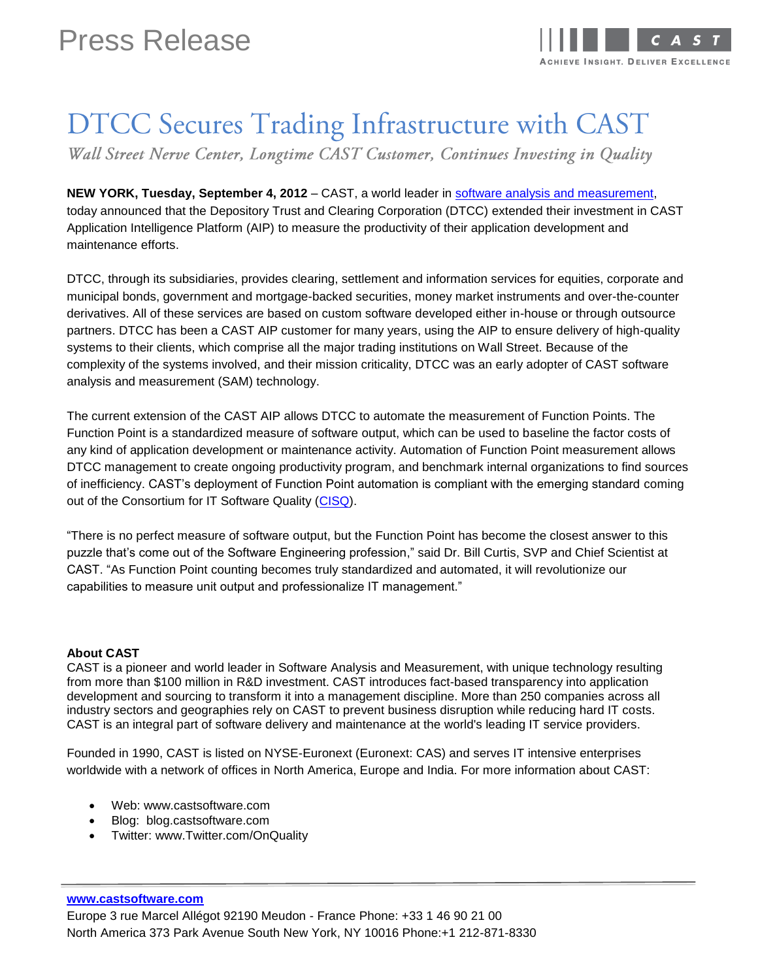

## DTCC Secures Trading Infrastructure with CAST

Wall Street Nerve Center, Longtime CAST Customer, Continues Investing in Quality

**NEW YORK, Tuesday, September 4, 2012 – CAST, a world leader in [software analysis and measurement,](http://www.castsoftware.com/Solutions/Automated-Application-Assessment.aspx)** today announced that the Depository Trust and Clearing Corporation (DTCC) extended their investment in CAST Application Intelligence Platform (AIP) to measure the productivity of their application development and maintenance efforts.

DTCC, through its subsidiaries, provides clearing, settlement and information services for equities, corporate and municipal bonds, government and mortgage-backed securities, money market instruments and over-the-counter derivatives. All of these services are based on custom software developed either in-house or through outsource partners. DTCC has been a CAST AIP customer for many years, using the AIP to ensure delivery of high-quality systems to their clients, which comprise all the major trading institutions on Wall Street. Because of the complexity of the systems involved, and their mission criticality, DTCC was an early adopter of CAST software analysis and measurement (SAM) technology.

The current extension of the CAST AIP allows DTCC to automate the measurement of Function Points. The Function Point is a standardized measure of software output, which can be used to baseline the factor costs of any kind of application development or maintenance activity. Automation of Function Point measurement allows DTCC management to create ongoing productivity program, and benchmark internal organizations to find sources of inefficiency. CAST's deployment of Function Point automation is compliant with the emerging standard coming out of the Consortium for IT Software Quality [\(CISQ\)](http://www.it-cisq.org/).

"There is no perfect measure of software output, but the Function Point has become the closest answer to this puzzle that's come out of the Software Engineering profession," said Dr. Bill Curtis, SVP and Chief Scientist at CAST. "As Function Point counting becomes truly standardized and automated, it will revolutionize our capabilities to measure unit output and professionalize IT management."

## **About CAST**

CAST is a pioneer and world leader in Software Analysis and Measurement, with unique technology resulting from more than \$100 million in R&D investment. CAST introduces fact-based transparency into application development and sourcing to transform it into a management discipline. More than 250 companies across all industry sectors and geographies rely on CAST to prevent business disruption while reducing hard IT costs. CAST is an integral part of software delivery and maintenance at the world's leading IT service providers.

Founded in 1990, CAST is listed on NYSE-Euronext (Euronext: CAS) and serves IT intensive enterprises worldwide with a network of offices in North America, Europe and India. For more information about CAST:

- Web: [www.castsoftware.com](http://www.castsoftware.com/)
- Blog: [blog.castsoftware.com](http://blog.castsoftware.com/)
- Twitter: [www.Twitter.com/OnQuality](http://www.twitter.com/OnQuality)

## **www.castsoftware.com**